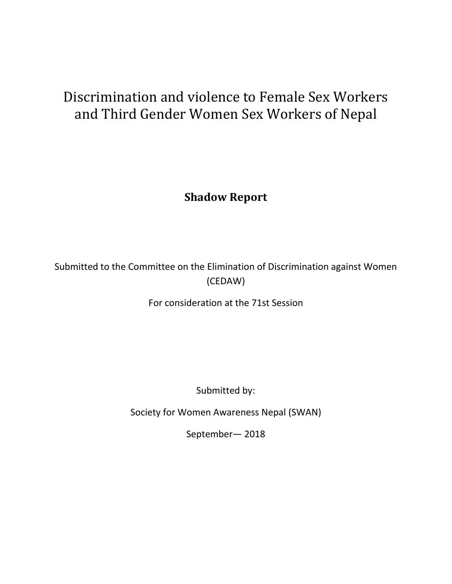# Discrimination and violence to Female Sex Workers and Third Gender Women Sex Workers of Nepal

**Shadow Report**

Submitted to the Committee on the Elimination of Discrimination against Women (CEDAW)

For consideration at the 71st Session

Submitted by:

Society for Women Awareness Nepal (SWAN)

September— 2018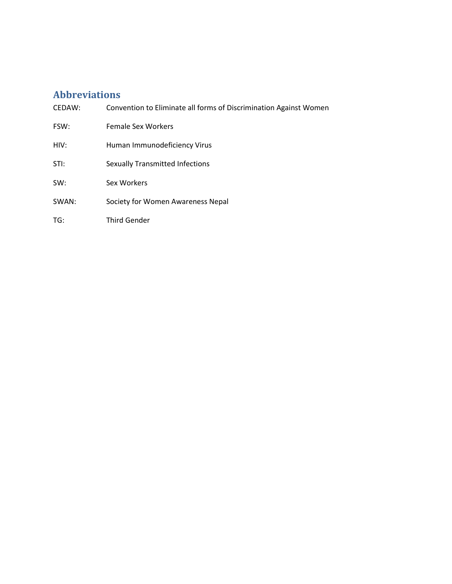# <span id="page-1-0"></span>**Abbreviations**

| CEDAW: | Convention to Eliminate all forms of Discrimination Against Women |
|--------|-------------------------------------------------------------------|
| FSW:   | <b>Female Sex Workers</b>                                         |
| HIV:   | Human Immunodeficiency Virus                                      |
| STI:   | <b>Sexually Transmitted Infections</b>                            |
| SW:    | Sex Workers                                                       |
| SWAN:  | Society for Women Awareness Nepal                                 |
| TG:    | Third Gender                                                      |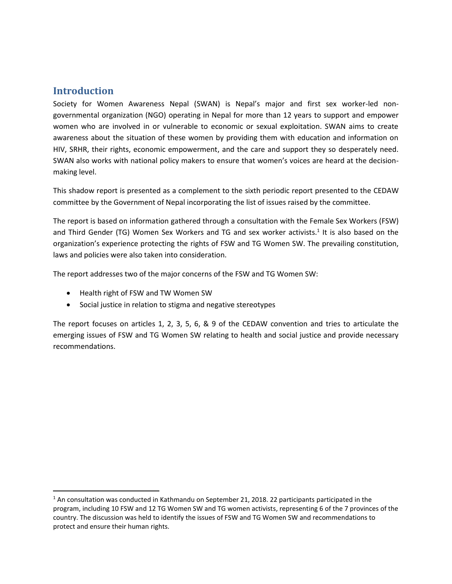## <span id="page-2-0"></span>**Introduction**

l

Society for Women Awareness Nepal (SWAN) is Nepal's major and first sex worker-led nongovernmental organization (NGO) operating in Nepal for more than 12 years to support and empower women who are involved in or vulnerable to economic or sexual exploitation. SWAN aims to create awareness about the situation of these women by providing them with education and information on HIV, SRHR, their rights, economic empowerment, and the care and support they so desperately need. SWAN also works with national policy makers to ensure that women's voices are heard at the decisionmaking level.

This shadow report is presented as a complement to the sixth periodic report presented to the CEDAW committee by the Government of Nepal incorporating the list of issues raised by the committee.

The report is based on information gathered through a consultation with the Female Sex Workers (FSW) and Third Gender (TG) Women Sex Workers and TG and sex worker activists.<sup>1</sup> It is also based on the organization's experience protecting the rights of FSW and TG Women SW. The prevailing constitution, laws and policies were also taken into consideration.

The report addresses two of the major concerns of the FSW and TG Women SW:

- Health right of FSW and TW Women SW
- Social justice in relation to stigma and negative stereotypes

The report focuses on articles 1, 2, 3, 5, 6, & 9 of the CEDAW convention and tries to articulate the emerging issues of FSW and TG Women SW relating to health and social justice and provide necessary recommendations.

 $1$  An consultation was conducted in Kathmandu on September 21, 2018. 22 participants participated in the program, including 10 FSW and 12 TG Women SW and TG women activists, representing 6 of the 7 provinces of the country. The discussion was held to identify the issues of FSW and TG Women SW and recommendations to protect and ensure their human rights.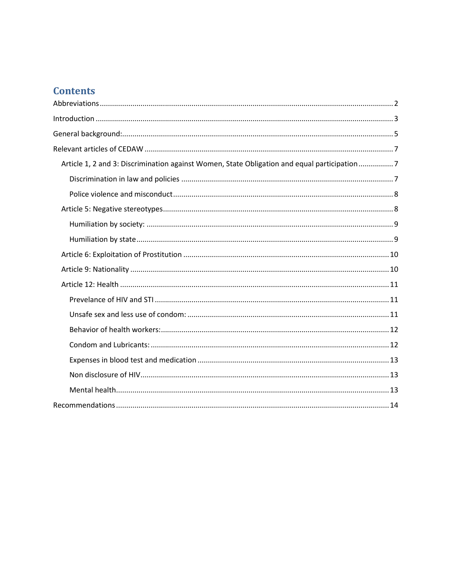# **Contents**

| Article 1, 2 and 3: Discrimination against Women, State Obligation and equal participation7 |
|---------------------------------------------------------------------------------------------|
|                                                                                             |
|                                                                                             |
|                                                                                             |
|                                                                                             |
|                                                                                             |
|                                                                                             |
|                                                                                             |
|                                                                                             |
|                                                                                             |
|                                                                                             |
|                                                                                             |
|                                                                                             |
|                                                                                             |
|                                                                                             |
|                                                                                             |
|                                                                                             |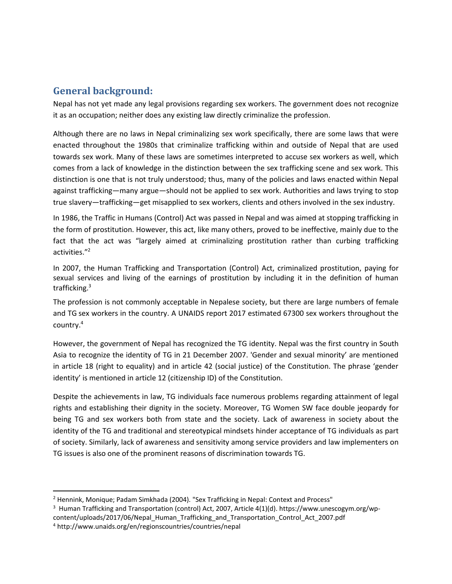# <span id="page-4-0"></span>**General background:**

Nepal has not yet made any legal provisions regarding sex workers. The government does not recognize it as an occupation; neither does any existing law directly criminalize the profession.

Although there are no laws in Nepal criminalizing sex work specifically, there are some laws that were enacted throughout the 1980s that criminalize trafficking within and outside of Nepal that are used towards sex work. Many of these laws are sometimes interpreted to accuse sex workers as well, which comes from a lack of knowledge in the distinction between the sex trafficking scene and sex work. This distinction is one that is not truly understood; thus, many of the policies and laws enacted within Nepal against trafficking—many argue—should not be applied to sex work. Authorities and laws trying to stop true slavery—trafficking—get misapplied to sex workers, clients and others involved in the sex industry.

In 1986, the Traffic in Humans (Control) Act was passed in Nepal and was aimed at stopping trafficking in the form of prostitution. However, this act, like many others, proved to be ineffective, mainly due to the fact that the act was "largely aimed at criminalizing prostitution rather than curbing trafficking activities."<sup>2</sup>

In 2007, the Human Trafficking and Transportation (Control) Act, criminalized prostitution, paying for sexual services and living of the earnings of prostitution by including it in the definition of human trafficking.<sup>3</sup>

The profession is not commonly acceptable in Nepalese society, but there are large numbers of female and TG sex workers in the country. A UNAIDS report 2017 estimated 67300 sex workers throughout the country.<sup>4</sup>

However, the government of Nepal has recognized the TG identity. Nepal was the first country in South Asia to recognize the identity of TG in 21 December 2007. 'Gender and sexual minority' are mentioned in article 18 (right to equality) and in article 42 (social justice) of the Constitution. The phrase 'gender identity' is mentioned in article 12 (citizenship ID) of the Constitution.

Despite the achievements in law, TG individuals face numerous problems regarding attainment of legal rights and establishing their dignity in the society. Moreover, TG Women SW face double jeopardy for being TG and sex workers both from state and the society. Lack of awareness in society about the identity of the TG and traditional and stereotypical mindsets hinder acceptance of TG individuals as part of society. Similarly, lack of awareness and sensitivity among service providers and law implementers on TG issues is also one of the prominent reasons of discrimination towards TG.

l

<sup>&</sup>lt;sup>2</sup> Hennink, Monique; Padam Simkhada (2004). "Sex Trafficking in Nepal: Context and Process"

 $^3$  Human Trafficking and Transportation (control) Act, 2007, Article 4(1)(d). https://www.unescogym.org/wp-

content/uploads/2017/06/Nepal\_Human\_Trafficking\_and\_Transportation\_Control\_Act\_2007.pdf

<sup>4</sup> http://www.unaids.org/en/regionscountries/countries/nepal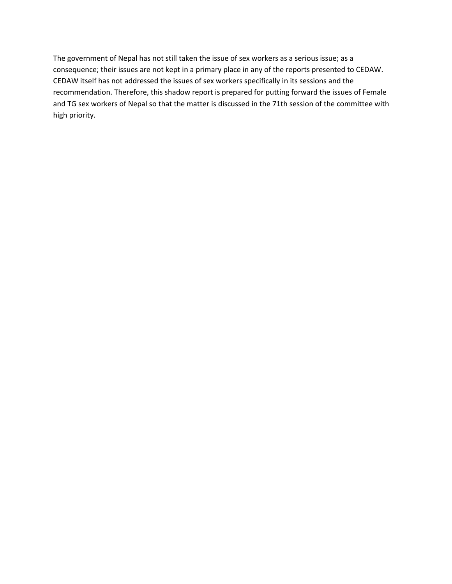<span id="page-5-0"></span>The government of Nepal has not still taken the issue of sex workers as a serious issue; as a consequence; their issues are not kept in a primary place in any of the reports presented to CEDAW. CEDAW itself has not addressed the issues of sex workers specifically in its sessions and the recommendation. Therefore, this shadow report is prepared for putting forward the issues of Female and TG sex workers of Nepal so that the matter is discussed in the 71th session of the committee with high priority.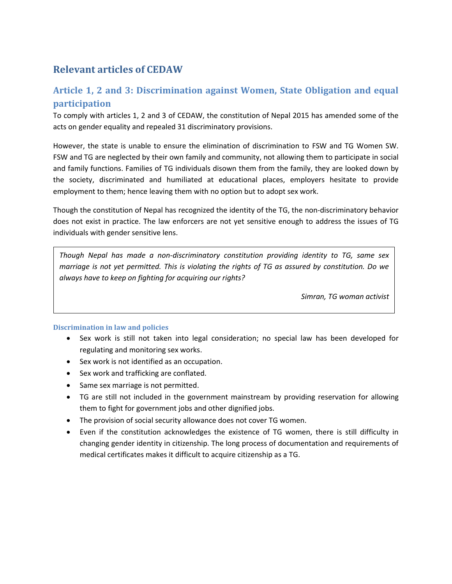# **Relevant articles of CEDAW**

# <span id="page-6-0"></span>**Article 1, 2 and 3: Discrimination against Women, State Obligation and equal participation**

To comply with articles 1, 2 and 3 of CEDAW, the constitution of Nepal 2015 has amended some of the acts on gender equality and repealed 31 discriminatory provisions.

However, the state is unable to ensure the elimination of discrimination to FSW and TG Women SW. FSW and TG are neglected by their own family and community, not allowing them to participate in social and family functions. Families of TG individuals disown them from the family, they are looked down by the society, discriminated and humiliated at educational places, employers hesitate to provide employment to them; hence leaving them with no option but to adopt sex work.

Though the constitution of Nepal has recognized the identity of the TG, the non-discriminatory behavior does not exist in practice. The law enforcers are not yet sensitive enough to address the issues of TG individuals with gender sensitive lens.

*Though Nepal has made a non-discriminatory constitution providing identity to TG, same sex marriage is not yet permitted. This is violating the rights of TG as assured by constitution. Do we always have to keep on fighting for acquiring our rights?*

*Simran, TG woman activist*

## <span id="page-6-1"></span>**Discrimination in law and policies**

- Sex work is still not taken into legal consideration; no special law has been developed for regulating and monitoring sex works.
- Sex work is not identified as an occupation.
- Sex work and trafficking are conflated.
- Same sex marriage is not permitted.
- TG are still not included in the government mainstream by providing reservation for allowing them to fight for government jobs and other dignified jobs.
- The provision of social security allowance does not cover TG women.
- Even if the constitution acknowledges the existence of TG women, there is still difficulty in changing gender identity in citizenship. The long process of documentation and requirements of medical certificates makes it difficult to acquire citizenship as a TG.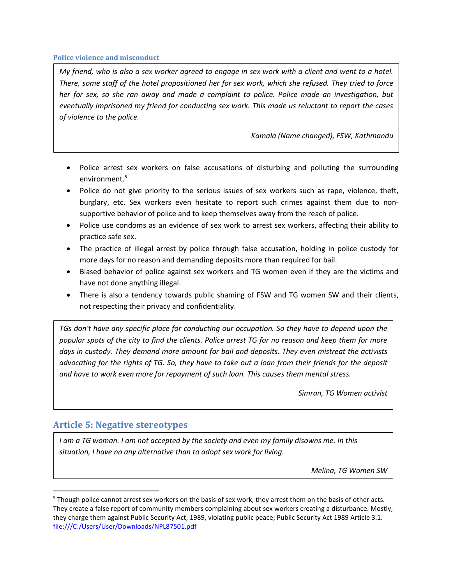#### <span id="page-7-0"></span>**Police violence and misconduct**

*My friend, who is also a sex worker agreed to engage in sex work with a client and went to a hotel. There, some staff of the hotel propositioned her for sex work, which she refused. They tried to force her for sex, so she ran away and made a complaint to police. Police made an investigation, but eventually imprisoned my friend for conducting sex work. This made us reluctant to report the cases of violence to the police.* 

*Kamala (Name changed), FSW, Kathmandu*

- Police arrest sex workers on false accusations of disturbing and polluting the surrounding environment. 5
- Police do not give priority to the serious issues of sex workers such as rape, violence, theft, burglary, etc. Sex workers even hesitate to report such crimes against them due to nonsupportive behavior of police and to keep themselves away from the reach of police.
- Police use condoms as an evidence of sex work to arrest sex workers, affecting their ability to practice safe sex.
- The practice of illegal arrest by police through false accusation, holding in police custody for more days for no reason and demanding deposits more than required for bail.
- Biased behavior of police against sex workers and TG women even if they are the victims and have not done anything illegal.
- There is also a tendency towards public shaming of FSW and TG women SW and their clients, not respecting their privacy and confidentiality.

*TGs don't have any specific place for conducting our occupation. So they have to depend upon the popular spots of the city to find the clients. Police arrest TG for no reason and keep them for more days in custody. They demand more amount for bail and deposits. They even mistreat the activists advocating for the rights of TG. So, they have to take out a loan from their friends for the deposit and have to work even more for repayment of such loan. This causes them mental stress.*

*Simran, TG Women activist*

## <span id="page-7-1"></span>**Article 5: Negative stereotypes**

l

*I am a TG woman. I am not accepted by the society and even my family disowns me. In this situation, I have no any alternative than to adopt sex work for living.*

*Melina, TG Women SW*

<sup>&</sup>lt;sup>5</sup> Though police cannot arrest sex workers on the basis of sex work, they arrest them on the basis of other acts. They create a false report of community members complaining about sex workers creating a disturbance. Mostly, they charge them against Public Security Act, 1989, violating public peace; Public Security Act 1989 Article 3.1. [file:///C:/Users/User/Downloads/NPL87501.pdf](../../User/Downloads/NPL87501.pdf)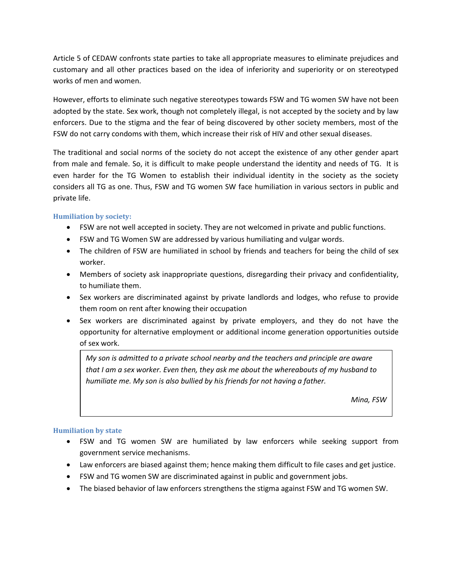Article 5 of CEDAW confronts state parties to take all appropriate measures to eliminate prejudices and customary and all other practices based on the idea of inferiority and superiority or on stereotyped works of men and women.

However, efforts to eliminate such negative stereotypes towards FSW and TG women SW have not been adopted by the state. Sex work, though not completely illegal, is not accepted by the society and by law enforcers. Due to the stigma and the fear of being discovered by other society members, most of the FSW do not carry condoms with them, which increase their risk of HIV and other sexual diseases.

The traditional and social norms of the society do not accept the existence of any other gender apart from male and female. So, it is difficult to make people understand the identity and needs of TG. It is even harder for the TG Women to establish their individual identity in the society as the society considers all TG as one. Thus, FSW and TG women SW face humiliation in various sectors in public and private life.

## <span id="page-8-0"></span>**Humiliation by society:**

- FSW are not well accepted in society. They are not welcomed in private and public functions.
- FSW and TG Women SW are addressed by various humiliating and vulgar words.
- The children of FSW are humiliated in school by friends and teachers for being the child of sex worker.
- Members of society ask inappropriate questions, disregarding their privacy and confidentiality, to humiliate them.
- Sex workers are discriminated against by private landlords and lodges, who refuse to provide them room on rent after knowing their occupation
- Sex workers are discriminated against by private employers, and they do not have the opportunity for alternative employment or additional income generation opportunities outside of sex work.

*My son is admitted to a private school nearby and the teachers and principle are aware that I am a sex worker. Even then, they ask me about the whereabouts of my husband to humiliate me. My son is also bullied by his friends for not having a father.*

*Mina, FSW*

## <span id="page-8-1"></span>**Humiliation by state**

- FSW and TG women SW are humiliated by law enforcers while seeking support from government service mechanisms.
- Law enforcers are biased against them; hence making them difficult to file cases and get justice.
- FSW and TG women SW are discriminated against in public and government jobs.
- The biased behavior of law enforcers strengthens the stigma against FSW and TG women SW.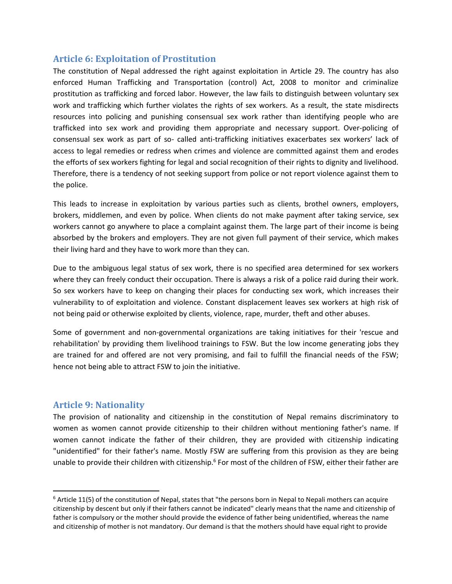## <span id="page-9-0"></span>**Article 6: Exploitation of Prostitution**

The constitution of Nepal addressed the right against exploitation in Article 29. The country has also enforced Human Trafficking and Transportation (control) Act, 2008 to monitor and criminalize prostitution as trafficking and forced labor. However, the law fails to distinguish between voluntary sex work and trafficking which further violates the rights of sex workers. As a result, the state misdirects resources into policing and punishing consensual sex work rather than identifying people who are trafficked into sex work and providing them appropriate and necessary support. Over-policing of consensual sex work as part of so- called anti-trafficking initiatives exacerbates sex workers' lack of access to legal remedies or redress when crimes and violence are committed against them and erodes the efforts of sex workers fighting for legal and social recognition of their rights to dignity and livelihood. Therefore, there is a tendency of not seeking support from police or not report violence against them to the police.

This leads to increase in exploitation by various parties such as clients, brothel owners, employers, brokers, middlemen, and even by police. When clients do not make payment after taking service, sex workers cannot go anywhere to place a complaint against them. The large part of their income is being absorbed by the brokers and employers. They are not given full payment of their service, which makes their living hard and they have to work more than they can.

Due to the ambiguous legal status of sex work, there is no specified area determined for sex workers where they can freely conduct their occupation. There is always a risk of a police raid during their work. So sex workers have to keep on changing their places for conducting sex work, which increases their vulnerability to of exploitation and violence. Constant displacement leaves sex workers at high risk of not being paid or otherwise exploited by clients, violence, rape, murder, theft and other abuses.

Some of government and non-governmental organizations are taking initiatives for their 'rescue and rehabilitation' by providing them livelihood trainings to FSW. But the low income generating jobs they are trained for and offered are not very promising, and fail to fulfill the financial needs of the FSW; hence not being able to attract FSW to join the initiative.

## <span id="page-9-1"></span>**Article 9: Nationality**

l

The provision of nationality and citizenship in the constitution of Nepal remains discriminatory to women as women cannot provide citizenship to their children without mentioning father's name. If women cannot indicate the father of their children, they are provided with citizenship indicating "unidentified" for their father's name. Mostly FSW are suffering from this provision as they are being unable to provide their children with citizenship.<sup>6</sup> For most of the children of FSW, either their father are

 $6$  Article 11(5) of the constitution of Nepal, states that "the persons born in Nepal to Nepali mothers can acquire citizenship by descent but only if their fathers cannot be indicated" clearly means that the name and citizenship of father is compulsory or the mother should provide the evidence of father being unidentified, whereas the name and citizenship of mother is not mandatory. Our demand is that the mothers should have equal right to provide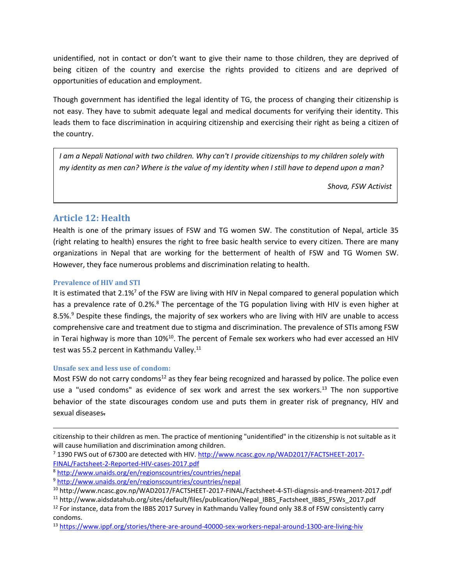unidentified, not in contact or don't want to give their name to those children, they are deprived of being citizen of the country and exercise the rights provided to citizens and are deprived of opportunities of education and employment.

Though government has identified the legal identity of TG, the process of changing their citizenship is not easy. They have to submit adequate legal and medical documents for verifying their identity. This leads them to face discrimination in acquiring citizenship and exercising their right as being a citizen of the country.

*I am a Nepali National with two children. Why can't I provide citizenships to my children solely with my identity as men can? Where is the value of my identity when I still have to depend upon a man?*

*Shova, FSW Activist*

## <span id="page-10-0"></span>**Article 12: Health**

Health is one of the primary issues of FSW and TG women SW. The constitution of Nepal, article 35 (right relating to health) ensures the right to free basic health service to every citizen. There are many organizations in Nepal that are working for the betterment of health of FSW and TG Women SW. However, they face numerous problems and discrimination relating to health.

## <span id="page-10-1"></span>**Prevalence of HIV and STI**

It is estimated that  $2.1\%$ <sup>7</sup> of the FSW are living with HIV in Nepal compared to general population which has a prevalence rate of 0.2%.<sup>8</sup> The percentage of the TG population living with HIV is even higher at 8.5%.<sup>9</sup> Despite these findings, the majority of sex workers who are living with HIV are unable to access comprehensive care and treatment due to stigma and discrimination. The prevalence of STIs among FSW in Terai highway is more than  $10\%^{10}$ . The percent of Female sex workers who had ever accessed an HIV test was 55.2 percent in Kathmandu Valley.<sup>11</sup>

## <span id="page-10-2"></span>**Unsafe sex and less use of condom:**

 $\overline{\phantom{a}}$ 

Most FSW do not carry condoms<sup>12</sup> as they fear being recognized and harassed by police. The police even use a "used condoms" as evidence of sex work and arrest the sex workers. $^{13}$  The non supportive behavior of the state discourages condom use and puts them in greater risk of pregnancy, HIV and sexual diseases.

citizenship to their children as men. The practice of mentioning "unidentified" in the citizenship is not suitable as it will cause humiliation and discrimination among children.

<sup>7</sup> 1390 FWS out of 67300 are detected with HIV. [http://www.ncasc.gov.np/WAD2017/FACTSHEET-2017-](http://www.ncasc.gov.np/WAD2017/FACTSHEET-2017-FINAL/Factsheet-2-Reported-HIV-cases-2017.pdf) [FINAL/Factsheet-2-Reported-HIV-cases-2017.pdf](http://www.ncasc.gov.np/WAD2017/FACTSHEET-2017-FINAL/Factsheet-2-Reported-HIV-cases-2017.pdf)

<sup>8</sup> <http://www.unaids.org/en/regionscountries/countries/nepal>

<sup>9</sup> <http://www.unaids.org/en/regionscountries/countries/nepal>

<sup>10</sup> http://www.ncasc.gov.np/WAD2017/FACTSHEET-2017-FINAL/Factsheet-4-STI-diagnsis-and-treament-2017.pdf

<sup>11</sup> http://www.aidsdatahub.org/sites/default/files/publication/Nepal\_IBBS\_Factsheet\_IBBS\_FSWs\_2017.pdf <sup>12</sup> For instance, data from the IBBS 2017 Survey in Kathmandu Valley found only 38.8 of FSW consistently carry condoms.

<sup>13</sup> <https://www.ippf.org/stories/there-are-around-40000-sex-workers-nepal-around-1300-are-living-hiv>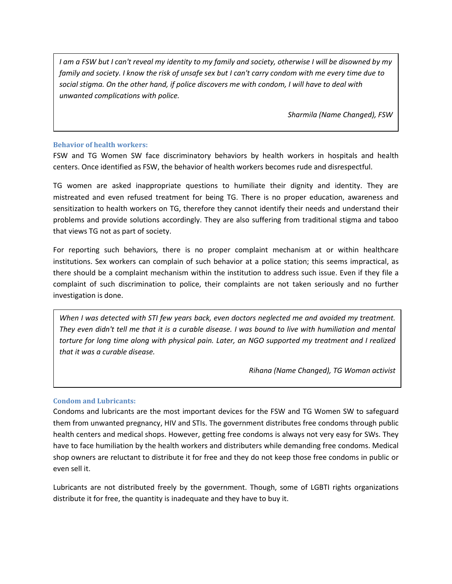*I am a FSW but I can't reveal my identity to my family and society, otherwise I will be disowned by my family and society. I know the risk of unsafe sex but I can't carry condom with me every time due to social stigma. On the other hand, if police discovers me with condom, I will have to deal with unwanted complications with police.* 

*Sharmila (Name Changed), FSW*

#### <span id="page-11-0"></span>**Behavior of health workers:**

FSW and TG Women SW face discriminatory behaviors by health workers in hospitals and health centers. Once identified as FSW, the behavior of health workers becomes rude and disrespectful.

TG women are asked inappropriate questions to humiliate their dignity and identity. They are mistreated and even refused treatment for being TG. There is no proper education, awareness and sensitization to health workers on TG, therefore they cannot identify their needs and understand their problems and provide solutions accordingly. They are also suffering from traditional stigma and taboo that views TG not as part of society.

For reporting such behaviors, there is no proper complaint mechanism at or within healthcare institutions. Sex workers can complain of such behavior at a police station; this seems impractical, as there should be a complaint mechanism within the institution to address such issue. Even if they file a complaint of such discrimination to police, their complaints are not taken seriously and no further investigation is done.

*When I was detected with STI few years back, even doctors neglected me and avoided my treatment. They even didn't tell me that it is a curable disease. I was bound to live with humiliation and mental torture for long time along with physical pain. Later, an NGO supported my treatment and I realized that it was a curable disease.* 

*Rihana (Name Changed), TG Woman activist*

## <span id="page-11-1"></span>**Condom and Lubricants:**

Condoms and lubricants are the most important devices for the FSW and TG Women SW to safeguard them from unwanted pregnancy, HIV and STIs. The government distributes free condoms through public health centers and medical shops. However, getting free condoms is always not very easy for SWs. They have to face humiliation by the health workers and distributers while demanding free condoms. Medical shop owners are reluctant to distribute it for free and they do not keep those free condoms in public or even sell it.

Lubricants are not distributed freely by the government. Though, some of LGBTI rights organizations distribute it for free, the quantity is inadequate and they have to buy it.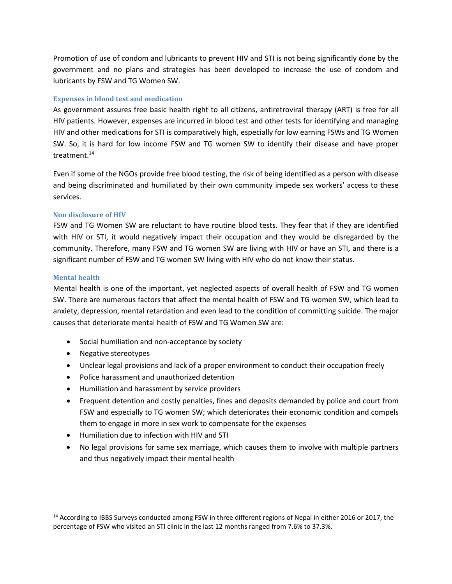Promotion of use of condom and lubricants to prevent HIV and STI is not being significantly done by the government and no plans and strategies has been developed to increase the use of condom and lubricants by FSW and TG Women SW.

## <span id="page-12-0"></span>**Expenses in blood test and medication**

As government assures free basic health right to all citizens, antiretroviral therapy (ART) is free for all HIV patients. However, expenses are incurred in blood test and other tests for identifying and managing HIV and other medications for STI is comparatively high, especially for low earning FSWs and TG Women SW. So, it is hard for low income FSW and TG women SW to identify their disease and have proper treatment.<sup>14</sup>

Even if some of the NGOs provide free blood testing, the risk of being identified as a person with disease and being discriminated and humiliated by their own community impede sex workers' access to these services.

## <span id="page-12-1"></span>**Non disclosure of HIV**

FSW and TG Women SW are reluctant to have routine blood tests. They fear that if they are identified with HIV or STI, it would negatively impact their occupation and they would be disregarded by the community. Therefore, many FSW and TG women SW are living with HIV or have an STI, and there is a significant number of FSW and TG women SW living with HIV who do not know their status.

## <span id="page-12-2"></span>**Mental health**

<span id="page-12-3"></span> $\overline{\phantom{a}}$ 

Mental health is one of the important, yet neglected aspects of overall health of FSW and TG women SW. There are numerous factors that affect the mental health of FSW and TG women SW, which lead to anxiety, depression, mental retardation and even lead to the condition of committing suicide. The major causes that deteriorate mental health of FSW and TG Women SW are:

- Social humiliation and non-acceptance by society
- Negative stereotypes
- Unclear legal provisions and lack of a proper environment to conduct their occupation freely
- Police harassment and unauthorized detention
- Humiliation and harassment by service providers
- Frequent detention and costly penalties, fines and deposits demanded by police and court from FSW and especially to TG women SW; which deteriorates their economic condition and compels them to engage in more in sex work to compensate for the expenses
- Humiliation due to infection with HIV and STI
- No legal provisions for same sex marriage, which causes them to involve with multiple partners and thus negatively impact their mental health

<sup>&</sup>lt;sup>14</sup> According to IBBS Surveys conducted among FSW in three different regions of Nepal in either 2016 or 2017, the percentage of FSW who visited an STI clinic in the last 12 months ranged from 7.6% to 37.3%.